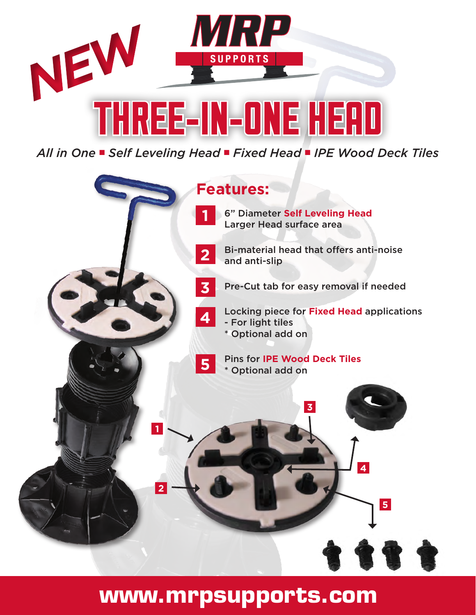

*All in One* n *Self Leveling Head* n *Fixed Head* n *IPE Wood Deck Tiles*



**www.mrpsupports.com**